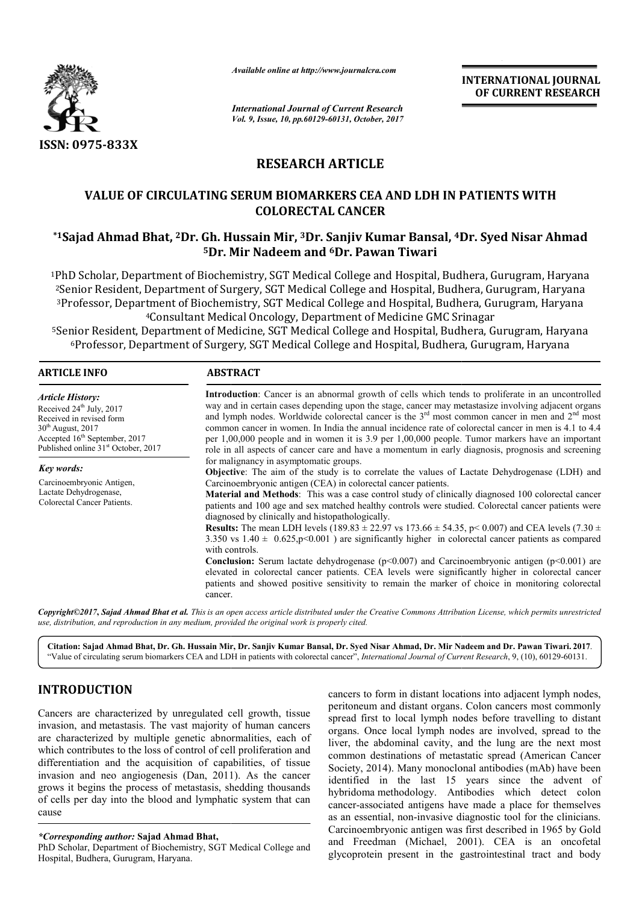

*Available online at http://www.journalcra.com*

## **RESEARCH ARTICLE**

# **VALUE OF CIRCULATING SERUM BIOMARKERS CEA AND LDH IN PATIENTS WITH**  VALUE OF CIRCULATING SERUM BIOMARKERS CEA AND LDH IN PATIENTS WITH<br>COLORECTAL CANCER<br><sup>1</sup>Sajad Ahmad Bhat, <sup>2</sup>Dr. Gh. Hussain Mir, <sup>3</sup>Dr. Sanjiv Kumar Bansal, <sup>4</sup>Dr. Syed Nisar Ahmad **COLORECTAL CANCER**

# **5Dr. Mir Nadeem and Dr. 6Dr. Pawan Tiwari**

|                                                                                                                                                                                                                                                                                                                                                                                                                                                                                                                                                                                                                                                                                                         | л гишине опине иг нир.// www.journatera.com                                                                                                                                                                                                                                                                                                                                                                                                                                                                                                                                                                                                                                                                                                                                                                                                                                                                                                                                                                                                                                                                                                                                                                                                                                                                                                                                                                                                                                                                                                                                                                                                                                                                             |                          | <b>INTERNATIONAL JOURNAL</b><br>OF CURRENT RESEARCH                                                                                                                                                                                                                                                                                                                                                                                                                                                                                                                                                                                                                                                                                                                                                                         |  |  |
|---------------------------------------------------------------------------------------------------------------------------------------------------------------------------------------------------------------------------------------------------------------------------------------------------------------------------------------------------------------------------------------------------------------------------------------------------------------------------------------------------------------------------------------------------------------------------------------------------------------------------------------------------------------------------------------------------------|-------------------------------------------------------------------------------------------------------------------------------------------------------------------------------------------------------------------------------------------------------------------------------------------------------------------------------------------------------------------------------------------------------------------------------------------------------------------------------------------------------------------------------------------------------------------------------------------------------------------------------------------------------------------------------------------------------------------------------------------------------------------------------------------------------------------------------------------------------------------------------------------------------------------------------------------------------------------------------------------------------------------------------------------------------------------------------------------------------------------------------------------------------------------------------------------------------------------------------------------------------------------------------------------------------------------------------------------------------------------------------------------------------------------------------------------------------------------------------------------------------------------------------------------------------------------------------------------------------------------------------------------------------------------------------------------------------------------------|--------------------------|-----------------------------------------------------------------------------------------------------------------------------------------------------------------------------------------------------------------------------------------------------------------------------------------------------------------------------------------------------------------------------------------------------------------------------------------------------------------------------------------------------------------------------------------------------------------------------------------------------------------------------------------------------------------------------------------------------------------------------------------------------------------------------------------------------------------------------|--|--|
|                                                                                                                                                                                                                                                                                                                                                                                                                                                                                                                                                                                                                                                                                                         | <b>International Journal of Current Research</b><br>Vol. 9, Issue, 10, pp.60129-60131, October, 2017                                                                                                                                                                                                                                                                                                                                                                                                                                                                                                                                                                                                                                                                                                                                                                                                                                                                                                                                                                                                                                                                                                                                                                                                                                                                                                                                                                                                                                                                                                                                                                                                                    |                          |                                                                                                                                                                                                                                                                                                                                                                                                                                                                                                                                                                                                                                                                                                                                                                                                                             |  |  |
| ISSN: 0975-833X                                                                                                                                                                                                                                                                                                                                                                                                                                                                                                                                                                                                                                                                                         |                                                                                                                                                                                                                                                                                                                                                                                                                                                                                                                                                                                                                                                                                                                                                                                                                                                                                                                                                                                                                                                                                                                                                                                                                                                                                                                                                                                                                                                                                                                                                                                                                                                                                                                         |                          |                                                                                                                                                                                                                                                                                                                                                                                                                                                                                                                                                                                                                                                                                                                                                                                                                             |  |  |
|                                                                                                                                                                                                                                                                                                                                                                                                                                                                                                                                                                                                                                                                                                         |                                                                                                                                                                                                                                                                                                                                                                                                                                                                                                                                                                                                                                                                                                                                                                                                                                                                                                                                                                                                                                                                                                                                                                                                                                                                                                                                                                                                                                                                                                                                                                                                                                                                                                                         | <b>RESEARCH ARTICLE</b>  |                                                                                                                                                                                                                                                                                                                                                                                                                                                                                                                                                                                                                                                                                                                                                                                                                             |  |  |
|                                                                                                                                                                                                                                                                                                                                                                                                                                                                                                                                                                                                                                                                                                         | <b>VALUE OF CIRCULATING SERUM BIOMARKERS CEA AND LDH IN PATIENTS WITH</b>                                                                                                                                                                                                                                                                                                                                                                                                                                                                                                                                                                                                                                                                                                                                                                                                                                                                                                                                                                                                                                                                                                                                                                                                                                                                                                                                                                                                                                                                                                                                                                                                                                               | <b>COLORECTAL CANCER</b> |                                                                                                                                                                                                                                                                                                                                                                                                                                                                                                                                                                                                                                                                                                                                                                                                                             |  |  |
|                                                                                                                                                                                                                                                                                                                                                                                                                                                                                                                                                                                                                                                                                                         | <sup>5</sup> Dr. Mir Nadeem and <sup>6</sup> Dr. Pawan Tiwari                                                                                                                                                                                                                                                                                                                                                                                                                                                                                                                                                                                                                                                                                                                                                                                                                                                                                                                                                                                                                                                                                                                                                                                                                                                                                                                                                                                                                                                                                                                                                                                                                                                           |                          | *1Sajad Ahmad Bhat, <sup>2</sup> Dr. Gh. Hussain Mir, <sup>3</sup> Dr. Sanjiv Kumar Bansal, <sup>4</sup> Dr. Syed Nisar Ahmad                                                                                                                                                                                                                                                                                                                                                                                                                                                                                                                                                                                                                                                                                               |  |  |
|                                                                                                                                                                                                                                                                                                                                                                                                                                                                                                                                                                                                                                                                                                         | <sup>4</sup> Consultant Medical Oncology, Department of Medicine GMC Srinagar                                                                                                                                                                                                                                                                                                                                                                                                                                                                                                                                                                                                                                                                                                                                                                                                                                                                                                                                                                                                                                                                                                                                                                                                                                                                                                                                                                                                                                                                                                                                                                                                                                           |                          | <sup>1</sup> PhD Scholar, Department of Biochemistry, SGT Medical College and Hospital, Budhera, Gurugram, Haryana<br><sup>2</sup> Senior Resident, Department of Surgery, SGT Medical College and Hospital, Budhera, Gurugram, Haryana<br><sup>3</sup> Professor, Department of Biochemistry, SGT Medical College and Hospital, Budhera, Gurugram, Haryana<br><sup>5</sup> Senior Resident, Department of Medicine, SGT Medical College and Hospital, Budhera, Gurugram, Haryana<br><sup>6</sup> Professor, Department of Surgery, SGT Medical College and Hospital, Budhera, Gurugram, Haryana                                                                                                                                                                                                                            |  |  |
| <b>ARTICLE INFO</b>                                                                                                                                                                                                                                                                                                                                                                                                                                                                                                                                                                                                                                                                                     | <b>ABSTRACT</b>                                                                                                                                                                                                                                                                                                                                                                                                                                                                                                                                                                                                                                                                                                                                                                                                                                                                                                                                                                                                                                                                                                                                                                                                                                                                                                                                                                                                                                                                                                                                                                                                                                                                                                         |                          |                                                                                                                                                                                                                                                                                                                                                                                                                                                                                                                                                                                                                                                                                                                                                                                                                             |  |  |
| <b>Article History:</b><br>Received 24 <sup>th</sup> July, 2017<br>Received in revised form<br>$30th$ August, 2017<br>Accepted 16 <sup>th</sup> September, 2017<br>Published online 31 <sup>st</sup> October, 2017<br>Key words:<br>Carcinoembryonic Antigen,<br>Lactate Dehydrogenase,<br>Colorectal Cancer Patients.                                                                                                                                                                                                                                                                                                                                                                                  | Introduction: Cancer is an abnormal growth of cells which tends to proliferate in an uncontrolled<br>way and in certain cases depending upon the stage, cancer may metastasize involving adjacent organs<br>and lymph nodes. Worldwide colorectal cancer is the 3 <sup>rd</sup> most common cancer in men and 2 <sup>nd</sup> most<br>common cancer in women. In India the annual incidence rate of colorectal cancer in men is 4.1 to 4.4<br>per 1,00,000 people and in women it is 3.9 per 1,00,000 people. Tumor markers have an important<br>role in all aspects of cancer care and have a momentum in early diagnosis, prognosis and screening<br>for malignancy in asymptomatic groups.<br>Objective: The aim of the study is to correlate the values of Lactate Dehydrogenase (LDH) and<br>Carcinoembryonic antigen (CEA) in colorectal cancer patients.<br>Material and Methods: This was a case control study of clinically diagnosed 100 colorectal cancer<br>patients and 100 age and sex matched healthy controls were studied. Colorectal cancer patients were<br>diagnosed by clinically and histopathologically.<br><b>Results:</b> The mean LDH levels (189.83 $\pm$ 22.97 vs 173.66 $\pm$ 54.35, p < 0.007) and CEA levels (7.30 $\pm$<br>3.350 vs $1.40 \pm 0.625$ , p<0.001) are significantly higher in colorectal cancer patients as compared<br>with controls.<br><b>Conclusion:</b> Serum lactate dehydrogenase ( $p<0.007$ ) and Carcinoembryonic antigen ( $p<0.001$ ) are<br>elevated in colorectal cancer patients. CEA levels were significantly higher in colorectal cancer<br>patients and showed positive sensitivity to remain the marker of choice in monitoring colorectal<br>cancer. |                          |                                                                                                                                                                                                                                                                                                                                                                                                                                                                                                                                                                                                                                                                                                                                                                                                                             |  |  |
| use, distribution, and reproduction in any medium, provided the original work is properly cited.                                                                                                                                                                                                                                                                                                                                                                                                                                                                                                                                                                                                        |                                                                                                                                                                                                                                                                                                                                                                                                                                                                                                                                                                                                                                                                                                                                                                                                                                                                                                                                                                                                                                                                                                                                                                                                                                                                                                                                                                                                                                                                                                                                                                                                                                                                                                                         |                          | Copyright©2017, Sajad Ahmad Bhat et al. This is an open access article distributed under the Creative Commons Attribution License, which permits unrestricted                                                                                                                                                                                                                                                                                                                                                                                                                                                                                                                                                                                                                                                               |  |  |
|                                                                                                                                                                                                                                                                                                                                                                                                                                                                                                                                                                                                                                                                                                         |                                                                                                                                                                                                                                                                                                                                                                                                                                                                                                                                                                                                                                                                                                                                                                                                                                                                                                                                                                                                                                                                                                                                                                                                                                                                                                                                                                                                                                                                                                                                                                                                                                                                                                                         |                          | Citation: Sajad Ahmad Bhat, Dr. Gh. Hussain Mir, Dr. Sanjiv Kumar Bansal, Dr. Syed Nisar Ahmad, Dr. Mir Nadeem and Dr. Pawan Tiwari. 2017.<br>"Value of circulating serum biomarkers CEA and LDH in patients with colorectal cancer", International Journal of Current Research, 9, (10), 60129-60131.                                                                                                                                                                                                                                                                                                                                                                                                                                                                                                                      |  |  |
| <b>INTRODUCTION</b>                                                                                                                                                                                                                                                                                                                                                                                                                                                                                                                                                                                                                                                                                     |                                                                                                                                                                                                                                                                                                                                                                                                                                                                                                                                                                                                                                                                                                                                                                                                                                                                                                                                                                                                                                                                                                                                                                                                                                                                                                                                                                                                                                                                                                                                                                                                                                                                                                                         |                          | cancers to form in distant locations into adjacent lymph nodes,                                                                                                                                                                                                                                                                                                                                                                                                                                                                                                                                                                                                                                                                                                                                                             |  |  |
| Cancers are characterized by unregulated cell growth, tissue<br>invasion, and metastasis. The vast majority of human cancers<br>are characterized by multiple genetic abnormalities, each of<br>which contributes to the loss of control of cell proliferation and<br>differentiation and the acquisition of capabilities, of tissue<br>invasion and neo angiogenesis (Dan, 2011). As the cancer<br>grows it begins the process of metastasis, shedding thousands<br>of cells per day into the blood and lymphatic system that can<br>cause<br><i>*Corresponding author:</i> Sajad Ahmad Bhat,<br>PhD Scholar, Department of Biochemistry, SGT Medical College and<br>Hosnital Budhera Guruoram Harvana |                                                                                                                                                                                                                                                                                                                                                                                                                                                                                                                                                                                                                                                                                                                                                                                                                                                                                                                                                                                                                                                                                                                                                                                                                                                                                                                                                                                                                                                                                                                                                                                                                                                                                                                         |                          | peritoneum and distant organs. Colon cancers most commonly<br>spread first to local lymph nodes before travelling to distant<br>organs. Once local lymph nodes are involved, spread to the<br>liver, the abdominal cavity, and the lung are the next most<br>common destinations of metastatic spread (American Cancer<br>Society, 2014). Many monoclonal antibodies (mAb) have been<br>identified in the last 15 years since the advent of<br>hybridoma methodology. Antibodies which detect colon<br>cancer-associated antigens have made a place for themselves<br>as an essential, non-invasive diagnostic tool for the clinicians.<br>Carcinoembryonic antigen was first described in 1965 by Gold<br>and Freedman (Michael, 2001). CEA is an oncofetal<br>glycoprotein present in the gastrointestinal tract and body |  |  |

### **INTRODUCTION**

PhD Scholar, Department of Biochemistry, SGT Medical College and Hospital, Budhera, Gurugram, Haryana.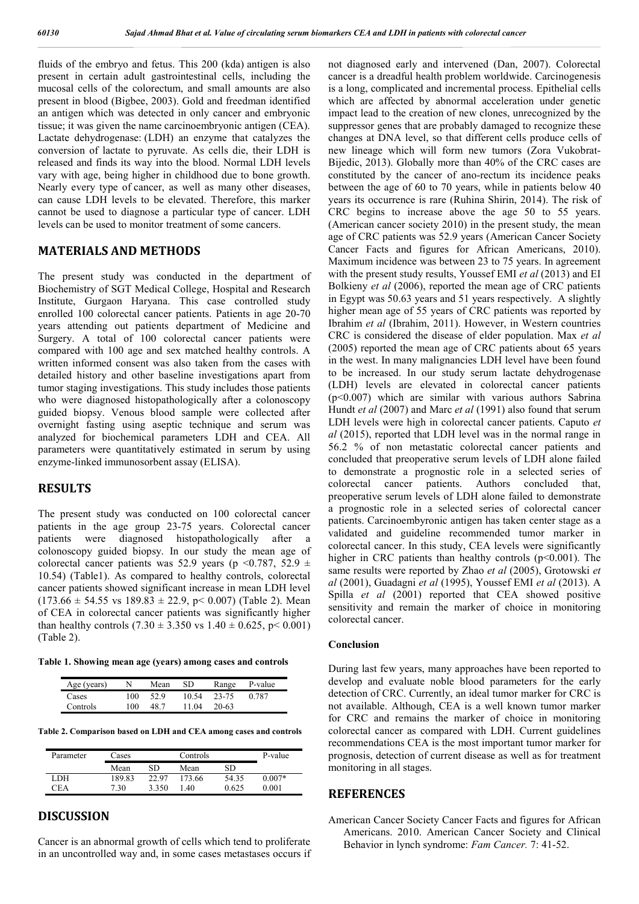fluids of the embryo and fetus. This 200 (kda) antigen is also present in certain adult gastrointestinal cells, including the mucosal cells of the colorectum, and small amounts are also present in blood (Bigbee, 2003). Gold and freedman identified an antigen which was detected in only cancer and embryonic tissue; it was given the name carcinoembryonic antigen (CEA). Lactate dehydrogenase: (LDH) an enzyme that catalyzes the conversion of lactate to pyruvate. As cells die, their LDH is released and finds its way into the blood. Normal LDH levels vary with age, being higher in childhood due to bone growth. Nearly every type of cancer, as well as many other diseases, can cause LDH levels to be elevated. Therefore, this marker cannot be used to diagnose a particular type of cancer. LDH levels can be used to monitor treatment of some cancers.

#### **MATERIALS AND METHODS**

The present study was conducted in the department of Biochemistry of SGT Medical College, Hospital and Research Institute, Gurgaon Haryana. This case controlled study enrolled 100 colorectal cancer patients. Patients in age 20-70 years attending out patients department of Medicine and Surgery. A total of 100 colorectal cancer patients were compared with 100 age and sex matched healthy controls. A written informed consent was also taken from the cases with detailed history and other baseline investigations apart from tumor staging investigations. This study includes those patients who were diagnosed histopathologically after a colonoscopy guided biopsy. Venous blood sample were collected after overnight fasting using aseptic technique and serum was analyzed for biochemical parameters LDH and CEA. All parameters were quantitatively estimated in serum by using enzyme-linked immunosorbent assay (ELISA).

#### **RESULTS**

The present study was conducted on 100 colorectal cancer patients in the age group 23-75 years. Colorectal cancer patients were diagnosed histopathologically after a colonoscopy guided biopsy. In our study the mean age of colorectal cancer patients was 52.9 years (p <0.787, 52.9  $\pm$ 10.54) (Table1). As compared to healthy controls, colorectal cancer patients showed significant increase in mean LDH level  $(173.66 \pm 54.55 \text{ vs } 189.83 \pm 22.9, \text{ p} < 0.007)$  (Table 2). Mean of CEA in colorectal cancer patients was significantly higher than healthy controls  $(7.30 \pm 3.350 \text{ vs } 1.40 \pm 0.625, \text{ p} < 0.001)$ (Table 2).

**Table 1. Showing mean age (years) among cases and controls**

| Age (years) | N   | Mean | SD.   | Range | P-value |
|-------------|-----|------|-------|-------|---------|
| Cases       | 100 | 52.9 | 10.54 | 23-75 | 0.787   |
| Controls    | 100 | 48.7 | 11 04 | 20-63 |         |

**Table 2. Comparison based on LDH and CEA among cases and controls**

| Parameter | Controls<br>Cases |       |        | P-value |          |
|-----------|-------------------|-------|--------|---------|----------|
|           | Mean              | SD    | Mean   | SD      |          |
| LDH.      | 189.83            | 22.97 | 173.66 | 54.35   | $0.007*$ |
| CEA       | 7 30              | 3350  | -40    | 0.625   | 0.001    |

#### **DISCUSSION**

Cancer is an abnormal growth of cells which tend to proliferate in an uncontrolled way and, in some cases metastases occurs if not diagnosed early and intervened (Dan, 2007). Colorectal cancer is a dreadful health problem worldwide. Carcinogenesis is a long, complicated and incremental process. Epithelial cells which are affected by abnormal acceleration under genetic impact lead to the creation of new clones, unrecognized by the suppressor genes that are probably damaged to recognize these changes at DNA level, so that different cells produce cells of new lineage which will form new tumors (Zora Vukobrat-Bijedic, 2013). Globally more than 40% of the CRC cases are constituted by the cancer of ano-rectum its incidence peaks between the age of 60 to 70 years, while in patients below 40 years its occurrence is rare (Ruhina Shirin, 2014). The risk of CRC begins to increase above the age 50 to 55 years. (American cancer society 2010) in the present study, the mean age of CRC patients was 52.9 years (American Cancer Society Cancer Facts and figures for African Americans, 2010). Maximum incidence was between 23 to 75 years. In agreement with the present study results, Youssef EMI *et al* (2013) and EI Bolkieny *et al* (2006), reported the mean age of CRC patients in Egypt was 50.63 years and 51 years respectively. A slightly higher mean age of 55 years of CRC patients was reported by Ibrahim *et al* (Ibrahim, 2011). However, in Western countries CRC is considered the disease of elder population. Max *et al* (2005) reported the mean age of CRC patients about 65 years in the west. In many malignancies LDH level have been found to be increased. In our study serum lactate dehydrogenase (LDH) levels are elevated in colorectal cancer patients (p<0.007) which are similar with various authors Sabrina Hundt *et al* (2007) and Marc *et al* (1991) also found that serum LDH levels were high in colorectal cancer patients. Caputo *et al* (2015), reported that LDH level was in the normal range in 56.2 % of non metastatic colorectal cancer patients and concluded that preoperative serum levels of LDH alone failed to demonstrate a prognostic role in a selected series of colorectal cancer patients. Authors concluded that, preoperative serum levels of LDH alone failed to demonstrate a prognostic role in a selected series of colorectal cancer patients. Carcinoembyronic antigen has taken center stage as a validated and guideline recommended tumor marker in colorectal cancer. In this study, CEA levels were significantly higher in CRC patients than healthy controls  $(p<0.001)$ . The same results were reported by Zhao *et al* (2005), Grotowski *et al* (2001), Guadagni *et al* (1995), Youssef EMI *et al* (2013). A Spilla *et al* (2001) reported that CEA showed positive sensitivity and remain the marker of choice in monitoring colorectal cancer.

#### **Conclusion**

During last few years, many approaches have been reported to develop and evaluate noble blood parameters for the early detection of CRC. Currently, an ideal tumor marker for CRC is not available. Although, CEA is a well known tumor marker for CRC and remains the marker of choice in monitoring colorectal cancer as compared with LDH. Current guidelines recommendations CEA is the most important tumor marker for prognosis, detection of current disease as well as for treatment monitoring in all stages.

#### **REFERENCES**

American Cancer Society Cancer Facts and figures for African Americans. 2010. American Cancer Society and Clinical Behavior in lynch syndrome: *Fam Cancer.* 7: 41-52.